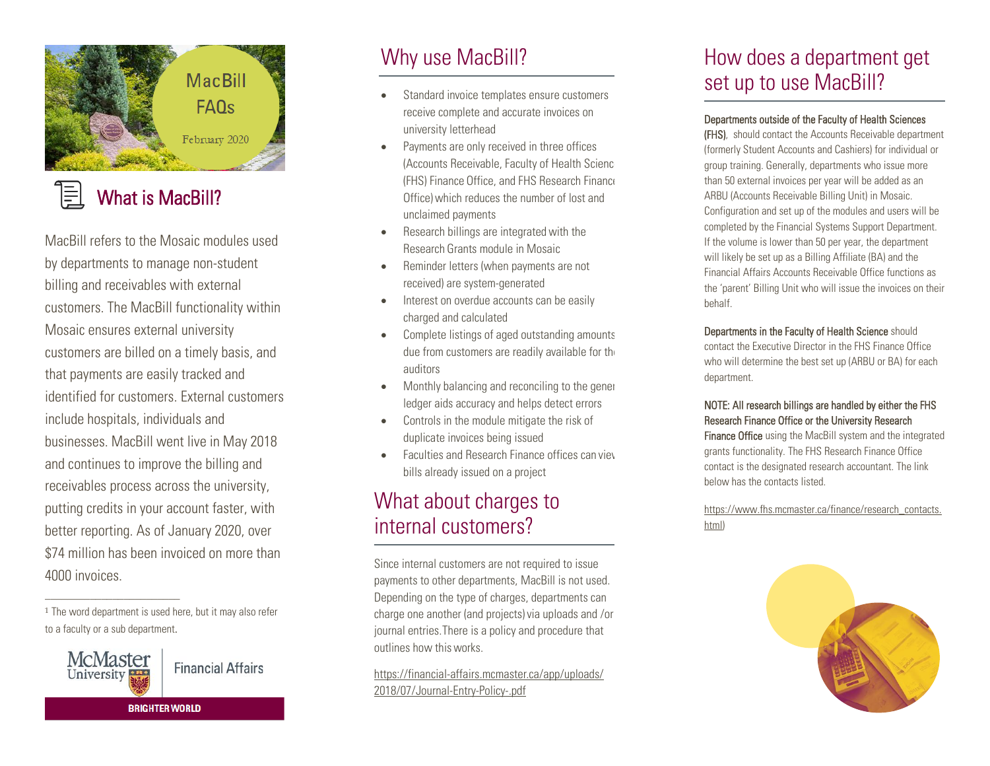

#### ≣ What is MacBill?

MacBill refers to the Mosaic modules used by departments to manage non-student billing and receivables with external customers. The MacBill functionality within Mosaic ensures external university customers are billed on a timely basis, and that payments are easily tracked and identified for customers. External customers include hospitals, individuals and businesses. MacBill went live in May 2018 and continues to improve the billing and receivables process across the university, putting credits in your account faster, with better reporting. As of January 2020, over \$74 million has been invoiced on more than 4000 invoices.

 $\overline{\phantom{a}}$  , where  $\overline{\phantom{a}}$  , where  $\overline{\phantom{a}}$  , where  $\overline{\phantom{a}}$ 



# Why use MacBill?

- Standard invoice templates ensure customers receive complete and accurate invoices on university letterhead
- Payments are only received in three offices (Accounts Receivable, Faculty of Health Science (FHS) Finance Office, and FHS Research Finance Office) which reduces the number of lost and unclaimed payments
- Research billings are integrated with the Research Grants module in Mosaic
- Reminder letters (when payments are not received) are system-generated
- Interest on overdue accounts can be easily charged and calculated
- Complete listings of aged outstanding amounts due from customers are readily available for the auditors
- Monthly balancing and reconciling to the gener ledger aids accuracy and helps detect errors
- Controls in the module mitigate the risk of duplicate invoices being issued
- **Faculties and Research Finance offices can viey** bills already issued on a project

## What about charges to internal customers?

Since internal customers are not required to issue payments to other departments, MacBill is not used. Depending on the type of charges, departments can charge one another (and projects) via uploads and /or journal entries. There is a policy and procedure that outlines how this works.

https://financial-affairs.mcmaster.ca/app/uploads/ 2018/07/Journal-Entry-Policy-.pdf

# How does a department get set up to use MacBill?

#### Departments outside of the Faculty of Health Sciences

(FHS), should contact the Accounts Receivable department (formerly Student Accounts and Cashiers) for individual or group training. Generally, departments who issue more than 50 external invoices per year will be added as an ARBU (Accounts Receivable Billing Unit) in Mosaic. Configuration and set up of the modules and users will be completed by the Financial Systems Support Department. If the volume is lower than 50 per year, the department will likely be set up as a Billing Affiliate (BA) and the Financial Affairs Accounts Receivable Office functions as the 'parent' Billing Unit who will issue the invoices on their behalf.

#### Departments in the Faculty of Health Science should

contact the Executive Director in the FHS Finance Office who will determine the best set up (ARBU or BA) for each department.

#### NOTE: All research billings are handled by either the FHS Research Finance Office or the University Research

Finance Office using the MacBill system and the integrated grants functionality. The FHS Research Finance Office contact is the designated research accountant. The link below has the contacts listed.

[https://www.fhs.mcmaster.ca/finance/research\\_contacts.](https://www.fhs.mcmaster.ca/finance/research_contacts.html) [html\)](https://www.fhs.mcmaster.ca/finance/research_contacts.html)



<sup>&</sup>lt;sup>1</sup> The word department is used here, but it may also refer to a faculty or a sub department.